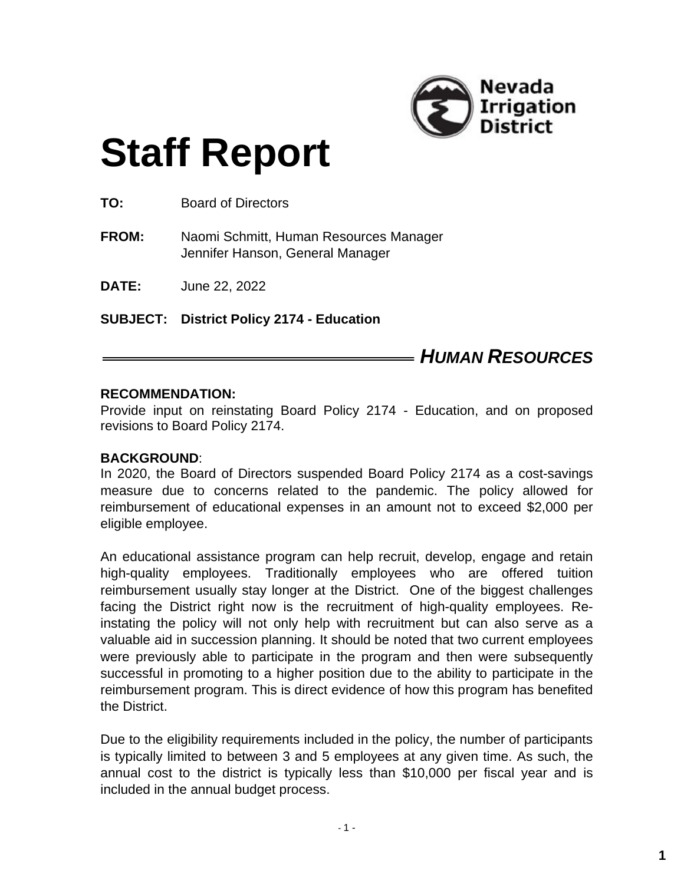

# **Staff Report**

**TO:** Board of Directors

**FROM:** Naomi Schmitt, Human Resources Manager Jennifer Hanson, General Manager

**DATE:** June 22, 2022

**SUBJECT: District Policy 2174 - Education**

### *HUMAN RESOURCES*

#### **RECOMMENDATION:**

Provide input on reinstating Board Policy 2174 - Education, and on proposed revisions to Board Policy 2174.

#### **BACKGROUND**:

In 2020, the Board of Directors suspended Board Policy 2174 as a cost-savings measure due to concerns related to the pandemic. The policy allowed for reimbursement of educational expenses in an amount not to exceed \$2,000 per eligible employee.

An educational assistance program can help recruit, develop, engage and retain high-quality employees. Traditionally employees who are offered tuition reimbursement usually stay longer at the District. One of the biggest challenges facing the District right now is the recruitment of high-quality employees. Reinstating the policy will not only help with recruitment but can also serve as a valuable aid in succession planning. It should be noted that two current employees were previously able to participate in the program and then were subsequently successful in promoting to a higher position due to the ability to participate in the reimbursement program. This is direct evidence of how this program has benefited the District.

Due to the eligibility requirements included in the policy, the number of participants is typically limited to between 3 and 5 employees at any given time. As such, the annual cost to the district is typically less than \$10,000 per fiscal year and is included in the annual budget process.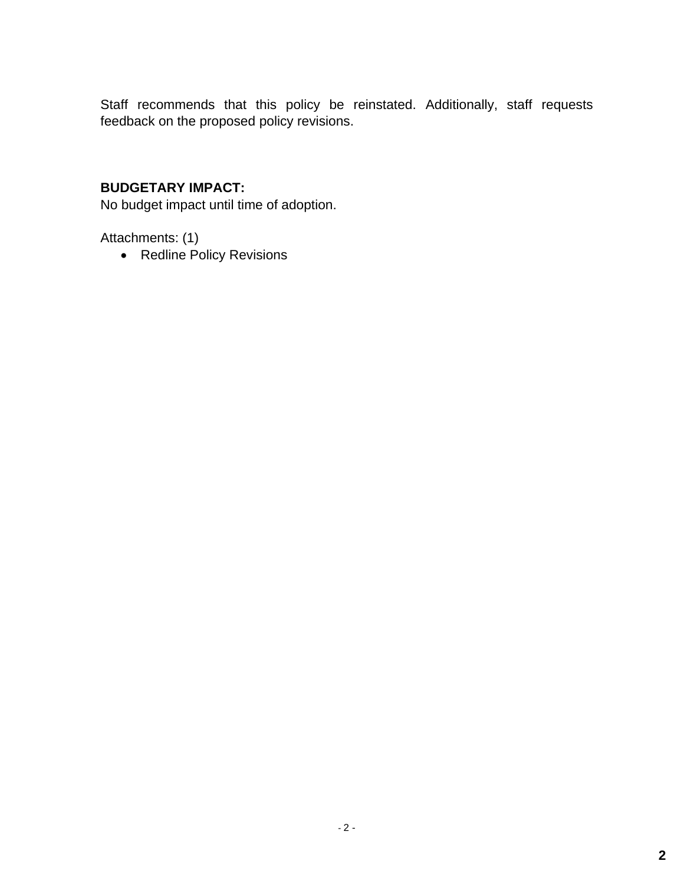Staff recommends that this policy be reinstated. Additionally, staff requests feedback on the proposed policy revisions.

#### **BUDGETARY IMPACT:**

No budget impact until time of adoption.

Attachments: (1)

• Redline Policy Revisions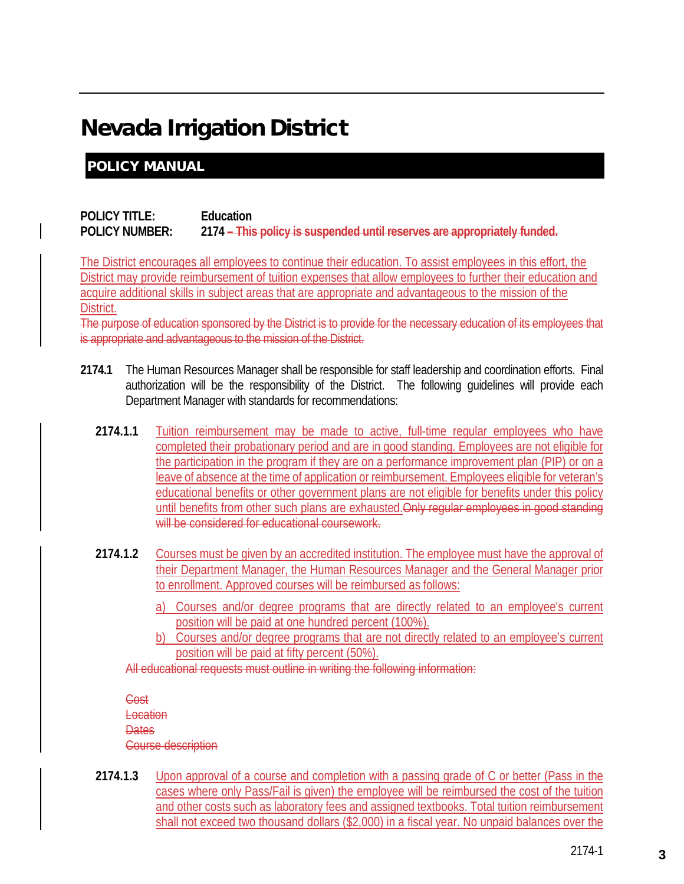## Nevada Irrigation District

#### POLICY MANUAL

#### **POLICY TITLE: Education POLICY NUMBER: 2174 – This policy is suspended until reserves are appropriately funded.**

The District encourages all employees to continue their education. To assist employees in this effort, the District may provide reimbursement of tuition expenses that allow employees to further their education and acquire additional skills in subject areas that are appropriate and advantageous to the mission of the District.

The purpose of education sponsored by the District is to provide for the necessary education of its employees that is appropriate and advantageous to the mission of the District.

- **2174.1** The Human Resources Manager shall be responsible for staff leadership and coordination efforts. Final authorization will be the responsibility of the District. The following guidelines will provide each Department Manager with standards for recommendations:
	- **2174.1.1** Tuition reimbursement may be made to active, full-time regular employees who have completed their probationary period and are in good standing. Employees are not eligible for the participation in the program if they are on a performance improvement plan (PIP) or on a leave of absence at the time of application or reimbursement. Employees eligible for veteran's educational benefits or other government plans are not eligible for benefits under this policy until benefits from other such plans are exhausted. Only regular employees in good standing will be considered for educational coursework.
	- **2174.1.2** Courses must be given by an accredited institution. The employee must have the approval of their Department Manager, the Human Resources Manager and the General Manager prior to enrollment. Approved courses will be reimbursed as follows:
		- a) Courses and/or degree programs that are directly related to an employee's current position will be paid at one hundred percent (100%).
		- b) Courses and/or degree programs that are not directly related to an employee's current position will be paid at fifty percent (50%).

All educational requests must outline in writing the following information:

Cost Location **Dates** Course description

**2174.1.3** Upon approval of a course and completion with a passing grade of C or better (Pass in the cases where only Pass/Fail is given) the employee will be reimbursed the cost of the tuition and other costs such as laboratory fees and assigned textbooks. Total tuition reimbursement shall not exceed two thousand dollars (\$2,000) in a fiscal year. No unpaid balances over the